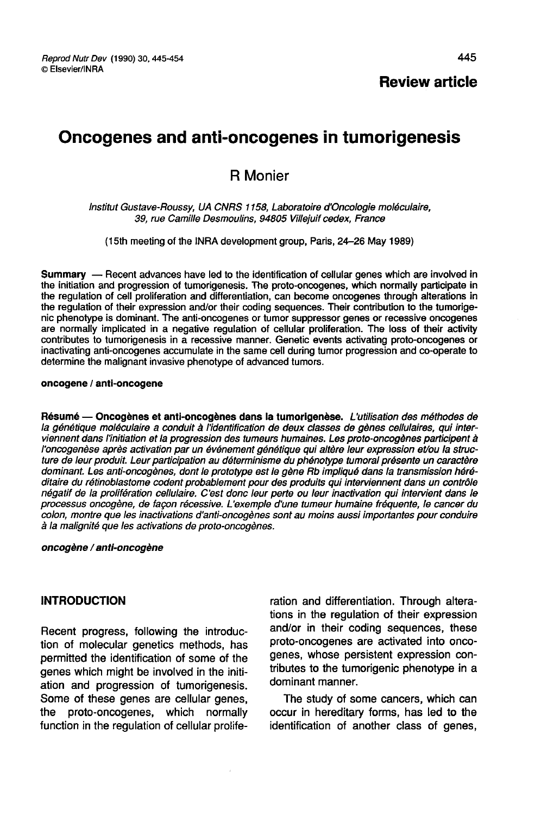# Oncogenes and anti-oncogenes in tumorigenesis

# R Monier

#### Institut Gustave-Roussy, UA CNRS 1158, Laboratoire d'Oncologie moléculaire, 39, rue Camille Desmoulins, 94805 Villejuif cedex, France

(15th meeting of the INRA development group, Paris, 24-26 May 1989)

Summary ― Recent advances have led to the identification of cellular genes which are involved in the initiation and progression of tumorigenesis. The proto-oncogenes, which normally participate in the regulation of cell proliferation and differentiation, can become oncogenes through alterations in the regulation of their expression and/or their coding sequences. Their contribution to the tumorige-<br>nic phenotype is dominant. The anti-oncogenes or tumor suppressor genes or recessive oncogenes are normally implicated in a negative regulation of cellular proliferation. The loss of their activity contributes to tumorigenesis in a recessive manner. Genetic events activating proto-oncogenes or inactivating anti-oncogenes accumulate in the same cell during tumor progression and co-operate to determine the malignant invasive phenotype of advanced tumors.

#### oncogene / anti-oncogene

Résumé ― Oncogènes et anti-oncogènes dans la tumorigenèse. L'utilisation des méthodes de la génétique moléculaire a conduit à l'identification de deux classes de gènes cellulaires, qui interviennent dans l'initiation et la progression des tumeurs humaines. Les proto-oncogènes participent à l'oncogenèse après activation par un événement génétique qui altère leur expression et/ou la structure de leur produit. Leur participation au déterminisme du phénotype tumoral présente un caractère dominant. Les anti-oncogènes, dont le prototype est le gène Rb impliqué dans la transmission héréditaire du rétinoblastome codent probablement pour des produits qui interviennent dans un contrôle négatif de la prolifération cellulaire. C'est donc leur perte ou leur inactivation qui intervient dans le processus oncogène, de façon récessive. L exemple d'une tumeur humaine fréquente, le cancer du colon, montre que les inactivations d'anti-oncogènes sont au moins aussi importantes pour conduire à la malignité que les activations de proto-oncogènes.

#### oncogène / anti-oncogène

#### INTRODUCTION

Recent progress, following the introduction of molecular genetics methods, has permitted the identification of some of the genes which might be involved in the initiation and progression of tumorigenesis. Some of these genes are cellular genes, the proto-oncogenes, which normally function in the regulation of cellular proliferation and differentiation. Through alterations in the regulation of their expression and/or in their coding sequences, these proto-oncogenes are activated into oncogenes, whose persistent expression contributes to the tumorigenic phenotype in a dominant manner.

The study of some cancers, which can occur in hereditary forms, has led to the identification of another class of genes,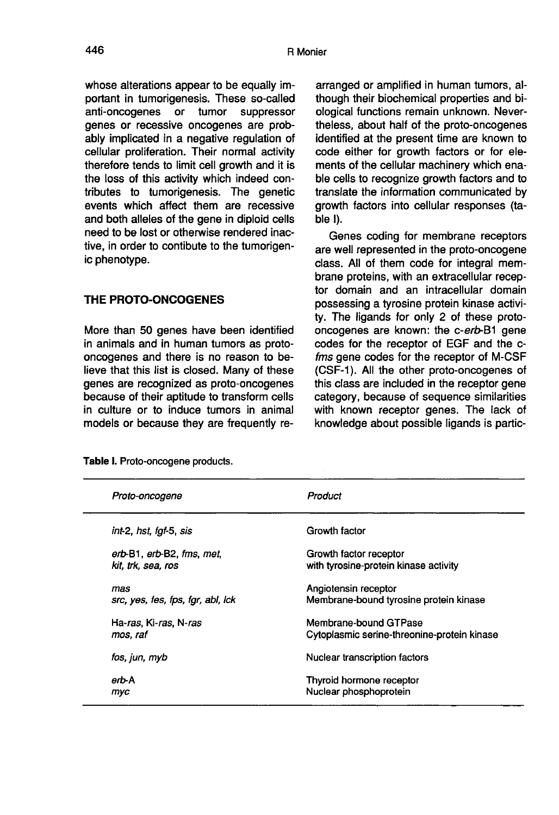446

whose alterations appear to be equally important in tumorigenesis. These so-called<br>anti-oncogenes or tumor suppressor anti-oncogenes genes or recessive oncogenes are probably implicated in a negative regulation of cellular proliferation. Their normal activity therefore tends to limit cell growth and it is the loss of this activity which indeed contributes to tumorigenesis. The genetic events which affect them are recessive and both alleles of the gene in diploid cells need to be lost or otherwise rendered inactive, in order to contibute to the tumorigenic phenotype.

# THE PROTO-ONCOGENES

More than 50 genes have been identified in animals and in human tumors as protooncogenes and there is no reason to believe that this list is closed. Many of these genes are recognized as proto-oncogenes because of their aptitude to transform cells in culture or to induce tumors in animal models or because they are frequently rearranged or amplified in human tumors, although their biochemical properties and biological functions remain unknown. Nevertheless, about half of the proto-oncogenes identified at the present time are known to code either for growth factors or for elements of the cellular machinery which enable cells to recognize growth factors and to translate the information communicated by growth factors into cellular responses (table I).

Genes coding for membrane receptors are well represented in the proto-oncogene class. All of them code for integral membrane proteins, with an extracellular receptor domain and an intracellular domain possessing a tyrosine protein kinase activity. The ligands for only 2 of these protooncogenes are known: the c-erb-B1 gene codes for the receptor of EGF and the cfms gene codes for the receptor of M-CSF (CSF-1). All the other proto-oncogenes of this class are included in the receptor gene category, because of sequence similarities with known receptor genes. The lack of knowledge about possible ligands is partic-

| Proto-oncogene                    | Product                                     |
|-----------------------------------|---------------------------------------------|
| int-2, hst, fat-5, sis            | Growth factor                               |
| erb-B1, erb-B2, fms, met,         | Growth factor receptor                      |
| kit. trk. sea. ros                | with tyrosine-protein kinase activity       |
| mas                               | Angiotensin receptor                        |
| src, yes, fes, fps, fgr, abl, lck | Membrane-bound tyrosine protein kinase      |
| Ha-ras, Ki-ras, N-ras             | Membrane-bound GTPase                       |
| mos, raf                          | Cytoplasmic serine-threonine-protein kinase |
| fos, jun, myb                     | Nuclear transcription factors               |
| erb-A                             | Thyroid hormone receptor                    |
| myc                               | Nuclear phosphoprotein                      |

Table I. Proto-oncogene products.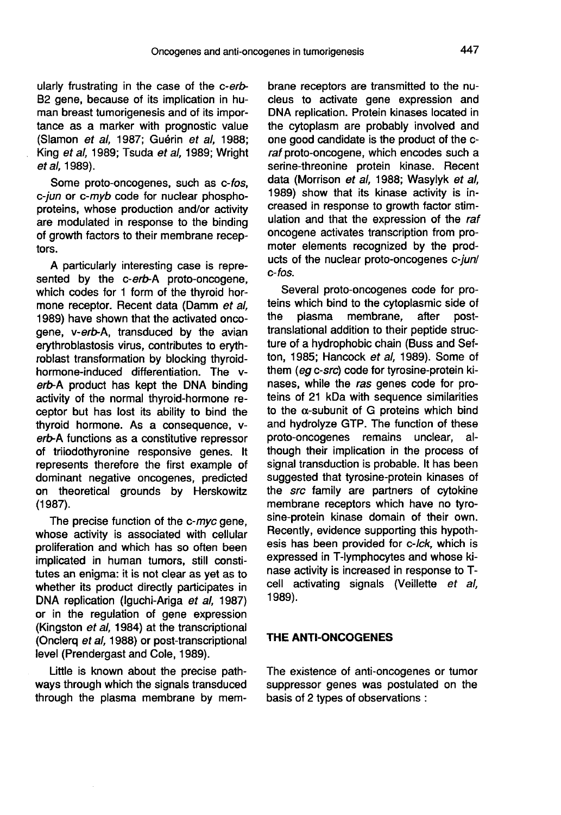ularly frustrating in the case of the c-erb-82 gene, because of its implication in human breast tumorigenesis and of its importance as a marker with prognostic value (Slamon et al, 1987; Guérin et al, 1988; King et al, 1989; Tsuda et al, 1989; Wright et al, 1989).

Some proto-oncogenes, such as c-fos, c-jun or c-myb code for nuclear phosphoproteins, whose production and/or activity are modulated in response to the binding of growth factors to their membrane receptors.

A particularly interesting case is represented by the c-erb-A proto-oncogene, which codes for 1 form of the thyroid hormone receptor. Recent data (Damm et al, 1989) have shown that the activated oncogene, v-erb-A, transduced by the avian erythroblastosis virus, contributes to erythroblast transformation by blocking thyroidhormone-induced differentiation. The verb-A product has kept the DNA binding activity of the normal thyroid-hormone receptor but has lost its ability to bind the thyroid hormone. As a consequence, verb-A functions as a constitutive repressor of triiodothyronine responsive genes. It represents therefore the first example of dominant negative oncogenes, predicted on theoretical grounds by Herskowitz (1987).

The precise function of the c-myc gene, whose activity is associated with cellular proliferation and which has so often been implicated in human tumors, still constitutes an enigma: it is not clear as yet as to whether its product directly participates in DNA replication (Iguchi-Ariga et al, 1987) or in the regulation of gene expression (Kingston et al, 1984) at the transcriptional (Onclerq et al, 1988) or post-transcriptional level (Prendergast and Cole, 1989).

Little is known about the precise pathways through which the signals transduced through the plasma membrane by membrane receptors are transmitted to the nucleus to activate gene expression and DNA replication. Protein kinases located in the cytoplasm are probably involved and one good candidate is the product of the craf proto-oncogene, which encodes such a serine-threonine protein kinase. Recent data (Morrison et al, 1988; Wasylyk et al, 1989) show that its kinase activity is increased in response to growth factor stimulation and that the expression of the raf oncogene activates transcription from promoter elements recognized by the products of the nuclear proto-oncogenes c-jun/ c-fos.

Several proto-oncogenes code for proteins which bind to the cytoplasmic side of<br>the plasma membrane, after postmembrane, translational addition to their peptide structure of a hydrophobic chain (Buss and Sefton, 1985; Hancock et al, 1989). Some of them (eg c-src) code for tyrosine-protein kinases, while the ras genes code for proteins of 21 kDa with sequence similarities to the  $\alpha$ -subunit of G proteins which bind and hydrolyze GTP. The function of these proto-oncogenes remains unclear, although their implication in the process of signal transduction is probable. It has been suggested that tyrosine-protein kinases of the src family are partners of cytokine membrane receptors which have no tyrosine-protein kinase domain of their own. Recently, evidence supporting this hypothesis has been provided for c-Ick, which is expressed in T-lymphocytes and whose kinase activity is increased in response to Tcell activating signals (Veillette et al, 1989).

#### THE ANTI-ONCOGENES

The existence of anti-oncogenes or tumor suppressor genes was postulated on the basis of 2 types of observations :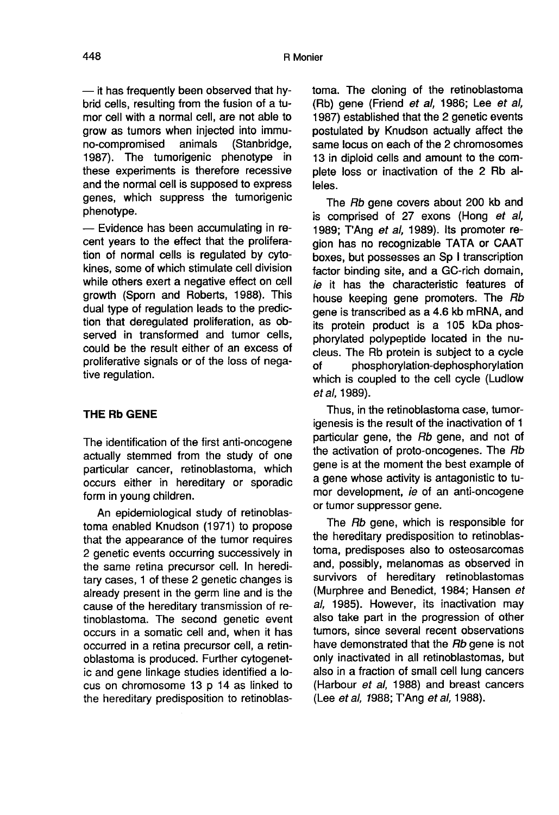- it has frequently been observed that hybrid cells, resulting from the fusion of a tumor cell with a normal cell, are not able to grow as tumors when injected into immu-<br>no-compromised animals (Stanbridge, no-compromised 1987). The tumorigenic phenotype in these experiments is therefore recessive and the normal cell is supposed to express genes, which suppress the tumorigenic phenotype.

- Evidence has been accumulating in recent years to the effect that the proliferation of normal cells is regulated by cytokines, some of which stimulate cell division while others exert a negative effect on cell growth (Sporn and Roberts, 1988). This dual type of regulation leads to the prediction that deregulated proliferation, as observed in transformed and tumor cells, could be the result either of an excess of proliferative signals or of the loss of negative regulation.

# THE Rb GENE

The identification of the first anti-oncogene actually stemmed from the study of one particular cancer, retinoblastoma, which occurs either in hereditary or sporadic form in young children.

An epidemiological study of retinoblastoma enabled Knudson (1971) to propose that the appearance of the tumor requires 2 genetic events occurring successively in the same retina precursor cell. In hereditary cases, 1 of these 2 genetic changes is already present in the germ line and is the cause of the hereditary transmission of retinoblastoma. The second genetic event occurs in a somatic cell and, when it has occurred in a retina precursor cell, a retinoblastoma is produced. Further cytogenetic and gene linkage studies identified a locus on chromosome 13 p 14 as linked to the hereditary predisposition to retinoblastoma. The cloning of the retinoblastoma (Rb) gene (Friend et al, 1986; Lee et al, 1987) established that the 2 genetic events postulated by Knudson actually affect the same locus on each of the 2 chromosomes 13 in diploid cells and amount to the complete loss or inactivation of the 2 Rb alleles.

The Rb gene covers about 200 kb and is comprised of 27 exons (Hong et al, 1989; T'Ang et al, 1989). Its promoter region has no recognizable TATA or CAAT boxes, but possesses an Sp I transcription factor binding site, and a GC-rich domain, ie it has the characteristic features of house keeping gene promoters. The Rb gene is transcribed as a 4.6 kb mRNA, and its protein product is a 105 kDa phosphorylated polypeptide located in the nucleus. The Rb protein is subject to a cycle of phosphorylation-dephosphorylation which is coupled to the cell cycle (Ludlow et al, 1989).

Thus, in the retinoblastoma case, tumorigenesis is the result of the inactivation of 1 particular gene, the Rb gene, and not of the activation of proto-oncogenes. The Rb gene is at the moment the best example of a gene whose activity is antagonistic to tumor development, ie of an anti-oncogene or tumor suppressor gene.

The Rb gene, which is responsible for the hereditary predisposition to retinoblastoma, predisposes also to osteosarcomas and, possibly, melanomas as observed in survivors of hereditary retinoblastomas (Murphree and Benedict, 1984; Hansen et al, 1985). However, its inactivation may also take part in the progression of other tumors, since several recent observations have demonstrated that the Rb gene is not only inactivated in all retinoblastomas, but also in a fraction of small cell lung cancers (Harbour et al, 1988) and breast cancers (Lee et al, 1988; TAng et al, 1988).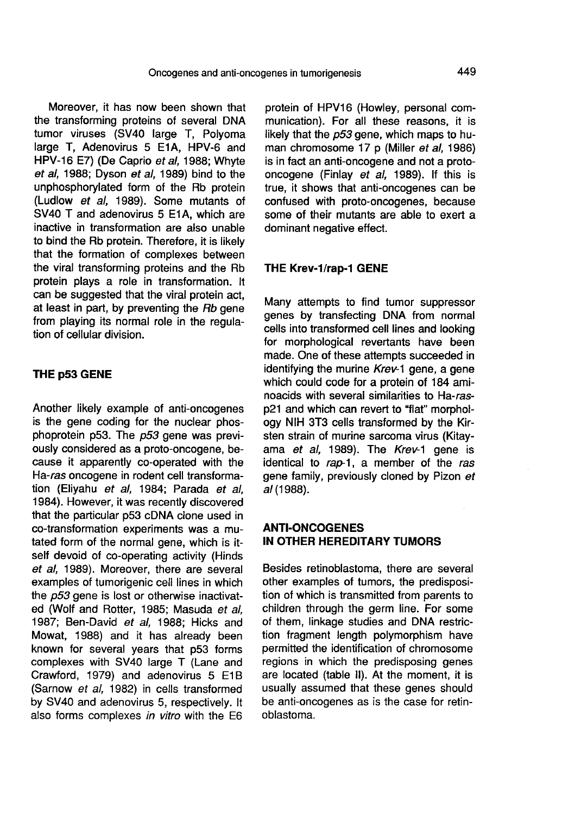Moreover, it has now been shown that the transforming proteins of several DNA tumor viruses (SV40 large T, Polyoma large T. Adenovirus 5 E1A, HPV-6 and HPV-16 E7) (De Caprio et al, 1988; Whyte et al, 1988; Dyson et al, 1989) bind to the unphosphorylated form of the Rb protein (Ludlow et al, 1989). Some mutants of SV40 T and adenovirus 5 E1A, which are inactive in transformation are also unable to bind the Rb protein. Therefore, it is likely that the formation of complexes between the viral transforming proteins and the Rb protein plays a role in transformation. It can be suggested that the viral protein act, at least in part, by preventing the Rb gene from playing its normal role in the regulation of cellular division.

#### THE p53 GENE

Another likely example of anti-oncogenes is the gene coding for the nuclear phosphoprotein p53. The p53 gene was previously considered as a proto-oncogene, because it apparently co-operated with the Ha-ras oncogene in rodent cell transformation (Eliyahu et al, 1984; Parada et al, 1984). However, it was recently discovered that the particular p53 cDNA clone used in co-transformation experiments was a mutated form of the normal gene, which is itself devoid of co-operating activity (Hinds et al, 1989). Moreover, there are several examples of tumorigenic cell lines in which the p53 gene is lost or otherwise inactivated (Wolf and Rotter, 1985; Masuda et al, 1987; Ben-David et al, 1988; Hicks and Mowat, 1988) and it has already been known for several years that p53 forms complexes with SV40 large T (Lane and Crawford, 1979) and adenovirus 5 E1B (Sarnow et al, 1982) in cells transformed by SV40 and adenovirus 5, respectively. It also forms complexes in vitro with the E6

protein of HPV16 (Howley, personal communication). For all these reasons, it is likely that the  $p53$  gene, which maps to human chromosome 17 p (Miller et al, 1986) is in fact an anti-oncogene and not a protooncogene (Finlay et al, 1989). If this is true, it shows that anti-oncogenes can be confused with proto-oncogenes, because some of their mutants are able to exert a dominant negative effect.

#### THE Krev-1/rap-1 GENE

Many attempts to find tumor suppressor genes by transfecting DNA from normal cells into transformed cell lines and looking for morphological revertants have been made. One of these attempts succeeded in identifying the murine Krev-1 gene, a gene which could code for a protein of 184 aminoacids with several similarities to Ha-rasp21 and which can revert to "flat" morphology NIH 3T3 cells transformed by the Kir-<br>sten strain of murine sarcoma virus (Kitavama et al, 1989). The Krey-1 gene is identical to rap-1, a member of the ras gene family, previously cloned by Pizon et al (1988).

### ANTI-ONCOGENES IN OTHER HEREDITARY TUMORS

Besides retinoblastoma, there are several other examples of tumors, the predisposition of which is transmitted from parents to children through the germ line. For some of them, linkage studies and DNA restriction fragment length polymorphism have permitted the identification of chromosome regions in which the predisposing genes are located (table II). At the moment, it is usually assumed that these genes should be anti-oncogenes as is the case for retinoblastoma.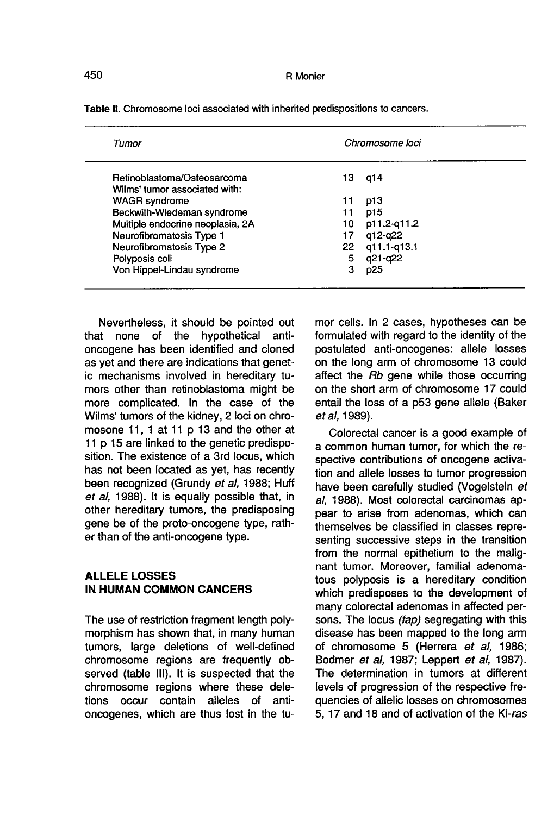| Tumor                            | Chromosome loci |             |
|----------------------------------|-----------------|-------------|
| Retinoblastoma/Osteosarcoma      | 13              | q14         |
| Wilms' tumor associated with:    |                 |             |
| <b>WAGR</b> syndrome             | 11              | p13         |
| Beckwith-Wiedeman syndrome       | 11              | p15         |
| Multiple endocrine neoplasia, 2A | 10              | p11.2-g11.2 |
| Neurofibromatosis Type 1         | 17              | a12-q22     |
| Neurofibromatosis Type 2         | 22              | q11.1-q13.1 |
| Polyposis coli                   | 5               | q21-q22     |
| Von Hippel-Lindau syndrome       | з               | p25         |

Table II. Chromosome loci associated with inherited predispositions to cancers.

Nevertheless, it should be pointed out that none of the hypothetical antioncogene has been identified and cloned as yet and there are indications that genetic mechanisms involved in hereditary tumors other than retinoblastoma might be more complicated. In the case of the Wilms' tumors of the kidney, 2 loci on chromosone 11, 1 at 11 p 13 and the other at 11 p 15 are linked to the genetic predisposition. The existence of a 3rd locus, which has not been located as yet, has recently been recognized (Grundy et al, 1988; Huff et al, 1988). It is equally possible that, in other hereditary tumors, the predisposing gene be of the proto-oncogene type, rather than of the anti-oncogene type.

# ALLELE LOSSES IN HUMAN COMMON CANCERS

The use of restriction fragment length polymorphism has shown that, in many human tumors, large deletions of well-defined chromosome regions are frequently observed (table 111). It is suspected that the chromosome regions where these deletions occur contain alleles of antioncogenes, which are thus lost in the tumor cells. In 2 cases, hypotheses can be formulated with regard to the identity of the postulated anti-oncogenes: allele losses on the long arm of chromosome 13 could affect the Rb gene while those occurring on the short arm of chromosome 17 could entail the loss of a p53 gene allele (Baker et al, 1989).

Colorectal cancer is a good example of a common human tumor, for which the respective contributions of oncogene activation and allele losses to tumor progression have been carefully studied (Vogelstein et al, 1988). Most colorectal carcinomas appear to arise from adenomas, which can themselves be classified in classes representing successive steps in the transition from the normal epithelium to the malignant tumor. Moreover, familial adenomatous polyposis is a hereditary condition which predisposes to the development of many colorectal adenomas in affected persons. The locus *(fap)* segregating with this disease has been mapped to the long arm of chromosome 5 (Herrera et al, 1986; Bodmer et al, 1987; Leppert et al, 1987). The determination in tumors at different levels of progression of the respective frequencies of allelic losses on chromosomes 5, 17 and 18 and of activation of the Ki-ras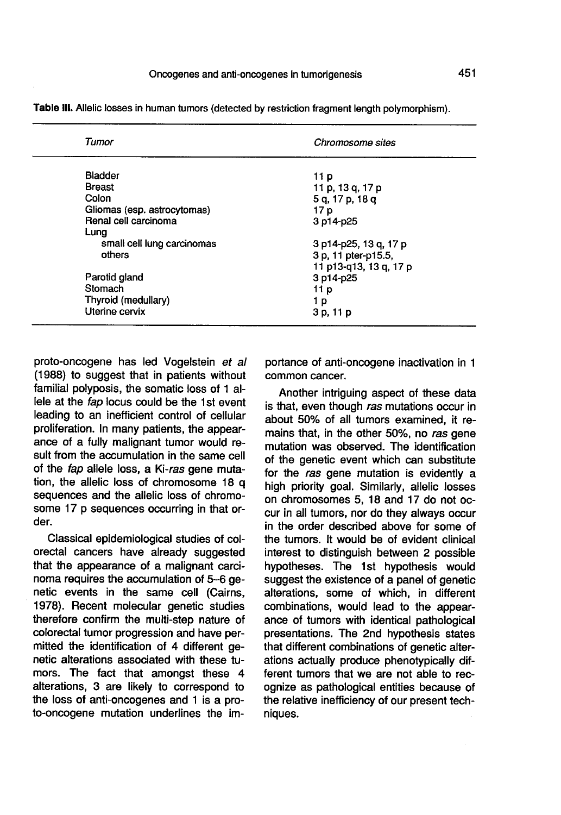| Tumor                       | Chromosome sites       |  |
|-----------------------------|------------------------|--|
| <b>Bladder</b>              | 11 p                   |  |
| <b>Breast</b>               | 11 p. 13 g. 17 p       |  |
| Colon                       | 5 g, 17 p, 18 g        |  |
| Gliomas (esp. astrocytomas) | 17 p                   |  |
| Renal cell carcinoma        | 3 p14-p25              |  |
| Lung                        |                        |  |
| small cell lung carcinomas  | 3 p14-p25, 13 q, 17 p  |  |
| others                      | 3 p, 11 pter-p15.5,    |  |
|                             | 11 p13-g13, 13 g, 17 p |  |
| Parotid gland               | 3 p14-p25              |  |
| Stomach                     | 11 p                   |  |
| Thyroid (medullary)         | 1 p                    |  |
| Uterine cervix              | 3 p, 11 p              |  |
|                             |                        |  |

Table III. Allelic losses in human tumors (detected by restriction fragment length polymorphism).

proto-oncogene has led Vogelstein et al (1988) to suggest that in patients without familial polyposis, the somatic loss of 1 allele at the fap locus could be the 1st event leading to an inefficient control of cellular proliferation. In many patients, the appear ance of a fully malignant tumor would result from the accumulation in the same cell of the fap allele loss, a Ki-ras gene mutation, the allelic loss of chromosome 18 q sequences and the allelic loss of chromosome 17 p sequences occurring in that order.

Classical epidemiological studies of colorectal cancers have already suggested that the appearance of a malignant carcinoma requires the accumulation of 5-6 genetic events in the same cell (Cairns, 1978). Recent molecular genetic studies therefore confirm the multi-step nature of colorectal tumor progression and have permitted the identification of 4 different genetic alterations associated with these tumors. The fact that amongst these 4 alterations, 3 are likely to correspond to the loss of anti-oncogenes and 1 is a proto-oncogene mutation underlines the importance of anti-oncogene inactivation in 1 common cancer.

Another intriguing aspect of these data is that, even though ras mutations occur in about 50% of all tumors examined, it remains that, in the other 50%, no ras gene mutation was observed. The identification of the genetic event which can substitute for the ras gene mutation is evidently a high priority goal. Similarly, allelic losses on chromosomes 5, 18 and 17 do not occur in all tumors, nor do they always occur in the order described above for some of the tumors. It would be of evident clinical interest to distinguish between 2 possible hypotheses. The 1st hypothesis would suggest the existence of a panel of genetic alterations, some of which, in different combinations, would lead to the appear ance of tumors with identical pathological presentations. The 2nd hypothesis states that different combinations of genetic alterations actually produce phenotypically different tumors that we are not able to recognize as pathological entities because of the relative inefficiency of our present techniques.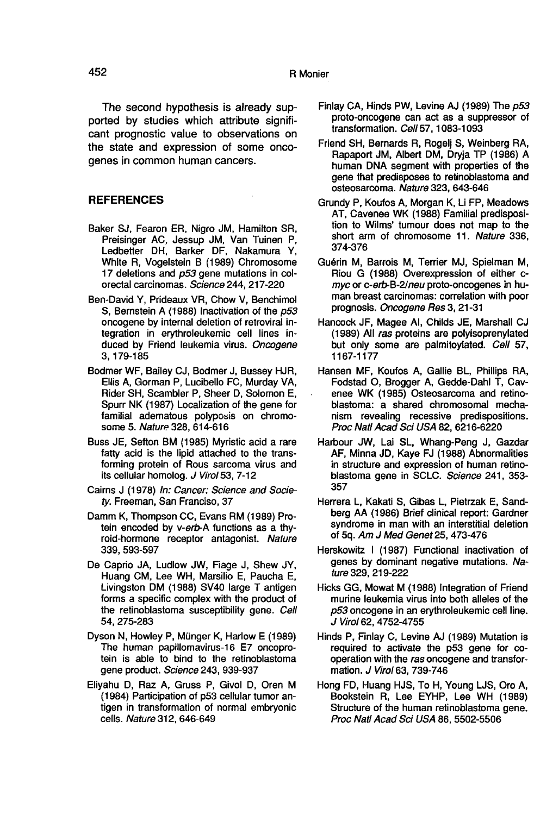The second hypothesis is already supported by studies which attribute significant prognostic value to observations on the state and expression of some oncogenes in common human cancers.

#### **REFERENCES**

- Baker SJ, Fearon ER, Nigro JM, Hamilton SR, Preisinger AC, Jessup JM, Van Tuinen P, Ledbetter DH, Barker DF, Nakamura Y, White R, Vogelstein B (1989) Chromosome 17 deletions and p53 gene mutations in colorectal carcinomas. Science 244, 217-220
- Ben-David Y, Prideaux VR, Chow V, Benchimol S, Bernstein A (1988) Inactivation of the p53 oncogene by internal deletion of retroviral integration in erythroleukemic cell lines induced by Friend leukemia virus. Oncogene 3, 179-185
- Bodmer WF, Bailey CJ, Bodmer J, Bussey HJR, Ellis A, Gorman P, Lucibello FC, Murday VA, Rider SH, Scambler P, Sheer D, Solomon E, Spurr NK (1987) Localization of the gene for familial adematous polyposis on chromosome 5. Nature 328, 614-616
- Buss JE, Sefton BM (1985) Myristic acid a rare fatty acid is the lipid attached to the transforming protein of Rous sarcoma virus and its cellular homolog. J Virol 53, 7-12
- Cairns J (1978) In: Cancer: Science and Society. Freeman, San Franciso, 37
- Damm K, Thompson CC, Evans RM (1989) Protein encoded by y-erb-A functions as a thyroid-hormone receptor antagonist. Nature 339, 593-597
- De Caprio JA, Ludlow JW, Fiage J, Shew JY, Huang CM, Lee WH, Marsilio E, Paucha E, Livingston DM (1988) SV40 large T antigen forms a specific complex with the product of the retinoblastoma susceptibility gene. Cell 54, 275-283
- Dyson N, Howley P, Münger K, Harlow E (1989) The human papillomavirus-16 E7 oncoprotein is able to bind to the retinoblastoma gene product. Science 243, 939-937
- Eliyahu D, Raz A, Gruss P, Givol D, Oren M (1984) Participation of p53 cellular tumor antigen in transformation of normal embryonic cells. Nature 312, 646-649
- Finlay CA, Hinds PW, Levine AJ (1989) The p53 proto-oncogene can act as a suppressor of transformation. Cell 57, 1083-1093
- Friend SH, Bernards R, Rogelj S, Weinberg RA, Rapaport JM, Albert DM, Dryja TP (1986) A human DNA segment with properties of the gene that predisposes to retinoblastoma and osteosarcoma. Nature 323, 643-646
- Grundy P, Koufos A, Morgan K, Li FP, Meadows AT, Cavenee WK (1988) Familial predisposition to Wilms' tumour does not map to the short arm of chromosome 11. Nature 336, 374-376
- Guérin M, Barrois M, Terrier MJ, Spielman M, Riou G (1988) Overexpression of either cmyc or c-erb-B-2/neu proto-oncogenes in human breast carcinomas: correlation with poor prognosis. Oncogene Res 3, 21-31
- Hancock JF, Magee Al, Childs JE, Marshall CJ (1989) All ras proteins are polyisoprenylated but only some are palmitoylated. Cell 57, 1167-1177
- Hansen MF, Koufos A, Gallie BL, Phillips RA, enee WK (1985) Osteosarcoma and retinoblastoma: a shared chromosomal mechanism revealing recessive predispositions. Proc Natl Acad Sci USA 82, 6216-6220
- Harbour JW, Lai SL, Whang-Peng J, Gazdar AF, Minna JD, Kaye FJ (1988) Abnormalities in structure and expression of human retinoblastoma gene in SCLC. Science 241, 353-357
- Herrera L, Kakati S, Gibas L, Pietrzak E, Sandberg AA (1986) Brief clinical report: Gardner syndrome in man with an interstitial deletion of 5q. Am J Med Genet 25, 473-476
- Herskowitz 1 (1987) Functional inactivation of genes by dominant negative mutations. Nature 329, 219-222
- Hicks GG, Mowat M (1988) Integration of Friend murine leukemia virus into both alleles of the p53 oncogene in an erythroleukemic cell line. J Virol 62, 4752-4755
- Hinds P, Finlay C, Levine AJ (1989) Mutation is required to activate the p53 gene for cooperation with the ras oncogene and transformation. J Virol 63, 739-746
- Hong FD, Huang HJS, To H, Young LJS, Oro A, Bookstein R, Lee EYHP, Lee WH (1989) Structure of the human retinoblastoma gene. Proc Natl Acad Sci USA 86, 5502-5506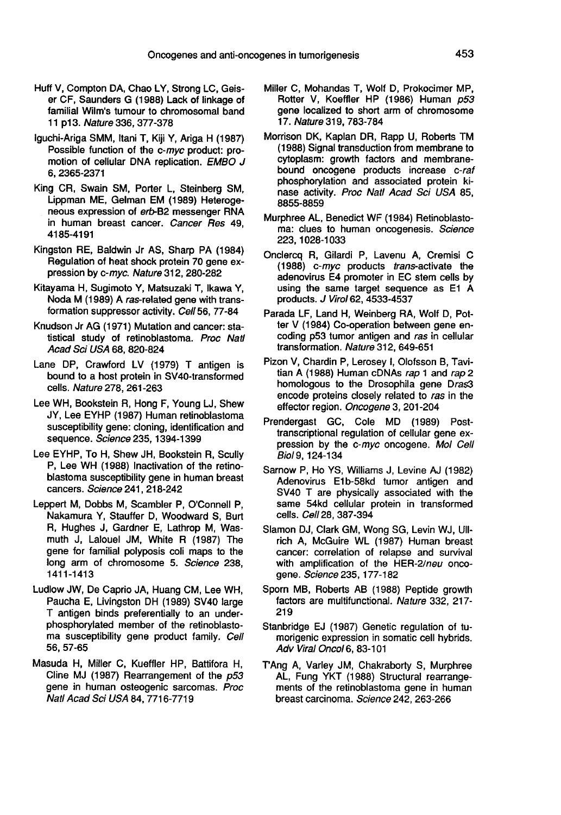- Huff V, Compton DA, Chao LY, Strong LC, Geiser CF, Saunders G (1988) Lack of linkage of familial Wilm's tumour to chromosomal band 11 p13. Nature 336, 377-378
- lguchi-Ariga SMM, ltani T, Kiji Y, Ariga H (1987) Possible function of the c-myc product: promotion of cellular DNA replication. EMBO J 6, 2365-2371
- King CR, Swain SM, Porter L, Steinberg SM, Lippman ME, Gelman EM (1989) Heteroge-<br>neous expression of erb-B2 messenger RNA in human breast cancer. Cancer Res 49, 4185-4191
- Kingston RE, Baldwin Jr AS, Sharp PA (1984) Regulation of heat shock protein 70 gene expression by c-myc. Nature 312, 280-282
- Kitayama H, Sugimoto Y, Matsuzaki T, Ikawa Y, Noda M (1989) A ras-related gene with transformation suppressor activity. Cell 56, 77-84
- Knudson Jr AG (1971) Mutation and cancer: statistical study of retinoblastoma. Proc Natl Acad Sci USA 68, 820-824
- Lane DP, Crawford LV (1979) T antigen is bound to a host protein in SV40-transformed cells. Nature 278, 261-263
- Lee WH, Bookstein R, Hong F, Young LJ, Shew JY, Lee EYHP (1987) Human retinoblastoma susceptibility gene: cloning, identification and sequence. Science 235, 1394-1399
- Lee EYHP, To H, Shew JH, Bookstein R, Scully P, Lee WH (1988) Inactivation of the retinoblastoma susceptibility gene in human breast cancers. Science 241, 218-242
- Leppert M, Dobbs M, Scambler P, O'Connell P, Nakamura Y, Stauffer D, Woodward S, Burt R, Hughes J, Gardner E, Lathrop M, Wasmuth J, Lalouel JM, White R (1987) The gene for familial polyposis coli maps to the long arm of chromosome 5. Science 238, 1411-1413
- Ludlow JW, De Caprio JA, Huang CM, Lee WH, Paucha E, Livingston DH (1989) SV40 large T antigen binds preferentially to an underphosphorylated member of the retinoblastoma susceptibility gene product family. Cell 56, 57-65
- Masuda H, Miller C, Kueffler HP, Battifora H, Cline MJ (1987) Rearrangement of the p53 gene in human osteogenic sarcomas. Proc Natl Acad Sci USA 84, 7716-7719
- Miller C, Mohandas T, Wolf D, Prokocimer MP, Rotter V, Koeffler HP (1986) Human p53 gene localized to short arm of chromosome 17. Nature 319, 783-784
- Morrison DK, Kaplan DR, Rapp U, Roberts TM (1988) Signal transduction from membrane to cytoplasm: growth factors and membranebound oncogene products increase c-raf phosphorylation and associated protein kinase activity. Proc Natl Acad Sci USA 85, 8855-8859
- Murphree AL, Benedict WF (1984) Retinoblastoma: clues to human oncogenesis. Science 223, 1028-1033
- Onclercq R, Gilardi P, Lavenu A, Cremisi C (1988) c-myc products trans-activate the adenovirus E4 promoter in EC stem cells by using the same target sequence as E1 A products. J Virol 62, 4533-4537
- Parada LF, Land H, Weinberg RA, Wolf D, Potter V (1984) Co-operation between gene encoding p53 tumor antigen and ras in cellular transformation. Nature 312, 649-651
- Pizon V, Chardin P, Lerosey I, Olofsson B, Tavitian A (1988) Human cDNAs rap 1 and rap 2 homologous to the Drosophila gene Dras3 encode proteins closely related to ras in the effector region. Oncogene 3, 201-204
- Prendergast GC, Cole MD (1989) Posttranscriptional regulation of cellular gene expression by the c-myc oncogene. Mol Cell Biol 9, 124-134
- Sarnow P, Ho YS, Williams J, Levine AJ (1982) Adenovirus E1b-58kd tumor antigen and SV40 T are physically associated with the same 54kd cellular protein in transformed cells. Cel1 28, 387-394
- Slamon DJ, Clark GM, Wong SG, Levin WJ, UIIrich A, McGuire WL (1987) Human breast cancer: correlation of relapse and survival with amplification of the HER-2/neu oncogene. Science 235, 177-182
- Sporn MB, Roberts AB (1988) Peptide growth factors are multifunctional. Nature 332, 217- 219
- Stanbridge EJ (1987) Genetic regulation of tumorigenic expression in somatic cell hybrids. Adv Viral Oncol6, 83-101
- TAng A, Varley JM, Chakraborty S, Murphree AL, Fung YKT (1988) Structural rearrange- ments of the retinoblastoma gene in human breast carcinoma. Science 242, 263-266